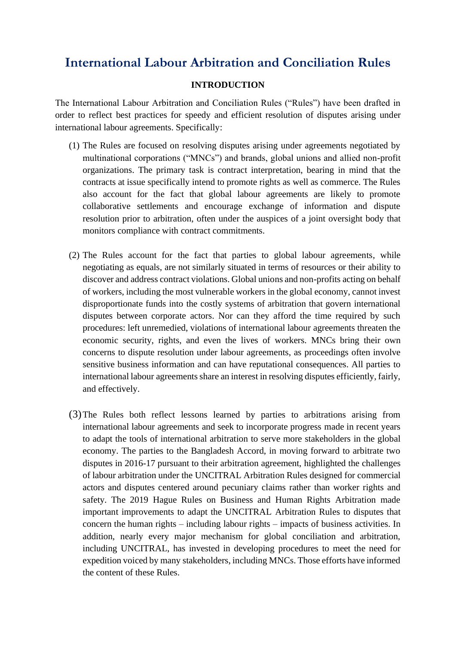# **International Labour Arbitration and Conciliation Rules**

#### **INTRODUCTION**

The International Labour Arbitration and Conciliation Rules ("Rules") have been drafted in order to reflect best practices for speedy and efficient resolution of disputes arising under international labour agreements. Specifically:

- (1) The Rules are focused on resolving disputes arising under agreements negotiated by multinational corporations ("MNCs") and brands, global unions and allied non-profit organizations. The primary task is contract interpretation, bearing in mind that the contracts at issue specifically intend to promote rights as well as commerce. The Rules also account for the fact that global labour agreements are likely to promote collaborative settlements and encourage exchange of information and dispute resolution prior to arbitration, often under the auspices of a joint oversight body that monitors compliance with contract commitments.
- (2) The Rules account for the fact that parties to global labour agreements, while negotiating as equals, are not similarly situated in terms of resources or their ability to discover and address contract violations. Global unions and non-profits acting on behalf of workers, including the most vulnerable workers in the global economy, cannot invest disproportionate funds into the costly systems of arbitration that govern international disputes between corporate actors. Nor can they afford the time required by such procedures: left unremedied, violations of international labour agreements threaten the economic security, rights, and even the lives of workers. MNCs bring their own concerns to dispute resolution under labour agreements, as proceedings often involve sensitive business information and can have reputational consequences. All parties to international labour agreements share an interest in resolving disputes efficiently, fairly, and effectively.
- (3)The Rules both reflect lessons learned by parties to arbitrations arising from international labour agreements and seek to incorporate progress made in recent years to adapt the tools of international arbitration to serve more stakeholders in the global economy. The parties to the Bangladesh Accord, in moving forward to arbitrate two disputes in 2016-17 pursuant to their arbitration agreement, highlighted the challenges of labour arbitration under the UNCITRAL Arbitration Rules designed for commercial actors and disputes centered around pecuniary claims rather than worker rights and safety. The 2019 Hague Rules on Business and Human Rights Arbitration made important improvements to adapt the UNCITRAL Arbitration Rules to disputes that concern the human rights – including labour rights – impacts of business activities. In addition, nearly every major mechanism for global conciliation and arbitration, including UNCITRAL, has invested in developing procedures to meet the need for expedition voiced by many stakeholders, including MNCs. Those efforts have informed the content of these Rules.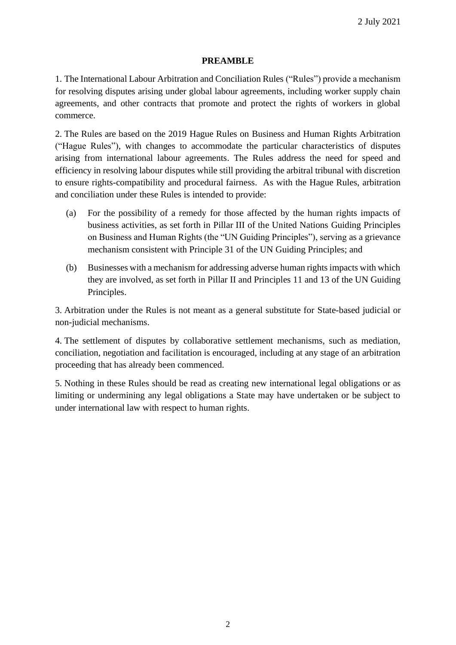#### **PREAMBLE**

1. The International Labour Arbitration and Conciliation Rules ("Rules") provide a mechanism for resolving disputes arising under global labour agreements, including worker supply chain agreements, and other contracts that promote and protect the rights of workers in global commerce.

2. The Rules are based on the 2019 Hague Rules on Business and Human Rights Arbitration ("Hague Rules"), with changes to accommodate the particular characteristics of disputes arising from international labour agreements. The Rules address the need for speed and efficiency in resolving labour disputes while still providing the arbitral tribunal with discretion to ensure rights-compatibility and procedural fairness. As with the Hague Rules, arbitration and conciliation under these Rules is intended to provide:

- (a) For the possibility of a remedy for those affected by the human rights impacts of business activities, as set forth in Pillar III of the United Nations Guiding Principles on Business and Human Rights (the "UN Guiding Principles"), serving as a grievance mechanism consistent with Principle 31 of the UN Guiding Principles; and
- (b) Businesses with a mechanism for addressing adverse human rights impacts with which they are involved, as set forth in Pillar II and Principles 11 and 13 of the UN Guiding Principles.

3. Arbitration under the Rules is not meant as a general substitute for State-based judicial or non-judicial mechanisms.

4. The settlement of disputes by collaborative settlement mechanisms, such as mediation, conciliation, negotiation and facilitation is encouraged, including at any stage of an arbitration proceeding that has already been commenced.

5. Nothing in these Rules should be read as creating new international legal obligations or as limiting or undermining any legal obligations a State may have undertaken or be subject to under international law with respect to human rights.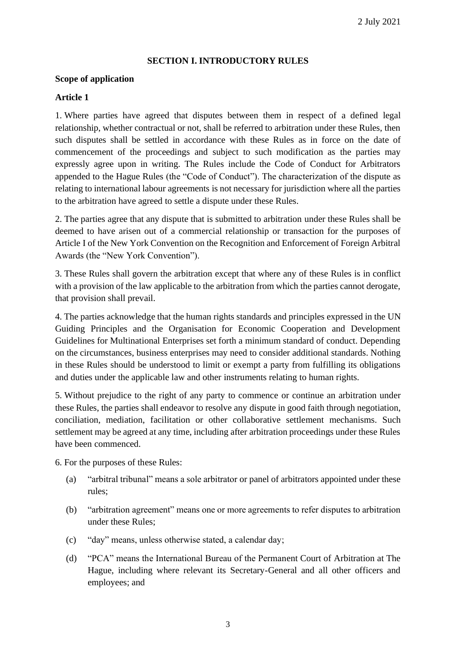#### **SECTION I. INTRODUCTORY RULES**

#### **Scope of application**

#### **Article 1**

1. Where parties have agreed that disputes between them in respect of a defined legal relationship, whether contractual or not, shall be referred to arbitration under these Rules, then such disputes shall be settled in accordance with these Rules as in force on the date of commencement of the proceedings and subject to such modification as the parties may expressly agree upon in writing. The Rules include the Code of Conduct for Arbitrators appended to the Hague Rules (the "Code of Conduct"). The characterization of the dispute as relating to international labour agreements is not necessary for jurisdiction where all the parties to the arbitration have agreed to settle a dispute under these Rules.

2. The parties agree that any dispute that is submitted to arbitration under these Rules shall be deemed to have arisen out of a commercial relationship or transaction for the purposes of Article I of the New York Convention on the Recognition and Enforcement of Foreign Arbitral Awards (the "New York Convention").

3. These Rules shall govern the arbitration except that where any of these Rules is in conflict with a provision of the law applicable to the arbitration from which the parties cannot derogate, that provision shall prevail.

4. The parties acknowledge that the human rights standards and principles expressed in the UN Guiding Principles and the Organisation for Economic Cooperation and Development Guidelines for Multinational Enterprises set forth a minimum standard of conduct. Depending on the circumstances, business enterprises may need to consider additional standards. Nothing in these Rules should be understood to limit or exempt a party from fulfilling its obligations and duties under the applicable law and other instruments relating to human rights.

5. Without prejudice to the right of any party to commence or continue an arbitration under these Rules, the parties shall endeavor to resolve any dispute in good faith through negotiation, conciliation, mediation, facilitation or other collaborative settlement mechanisms. Such settlement may be agreed at any time, including after arbitration proceedings under these Rules have been commenced.

6. For the purposes of these Rules:

- (a) "arbitral tribunal" means a sole arbitrator or panel of arbitrators appointed under these rules;
- (b) "arbitration agreement" means one or more agreements to refer disputes to arbitration under these Rules;
- (c) "day" means, unless otherwise stated, a calendar day;
- (d) "PCA" means the International Bureau of the Permanent Court of Arbitration at The Hague, including where relevant its Secretary-General and all other officers and employees; and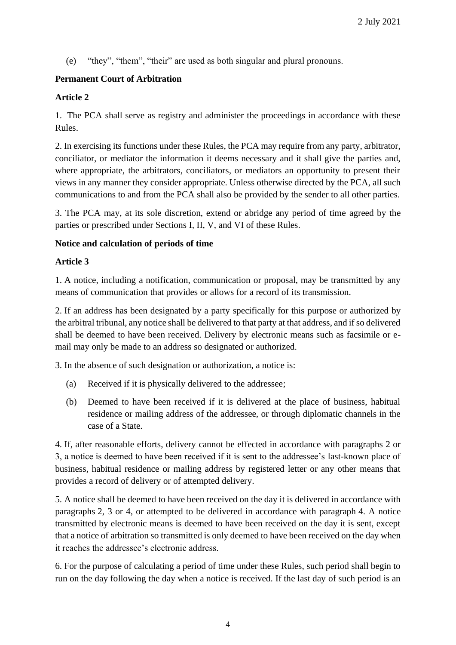(e) "they", "them", "their" are used as both singular and plural pronouns.

# **Permanent Court of Arbitration**

### **Article 2**

1. The PCA shall serve as registry and administer the proceedings in accordance with these Rules.

2. In exercising its functions under these Rules, the PCA may require from any party, arbitrator, conciliator, or mediator the information it deems necessary and it shall give the parties and, where appropriate, the arbitrators, conciliators, or mediators an opportunity to present their views in any manner they consider appropriate. Unless otherwise directed by the PCA, all such communications to and from the PCA shall also be provided by the sender to all other parties.

3. The PCA may, at its sole discretion, extend or abridge any period of time agreed by the parties or prescribed under Sections I, II, V, and VI of these Rules.

#### **Notice and calculation of periods of time**

#### **Article 3**

1. A notice, including a notification, communication or proposal, may be transmitted by any means of communication that provides or allows for a record of its transmission.

2. If an address has been designated by a party specifically for this purpose or authorized by the arbitral tribunal, any notice shall be delivered to that party at that address, and if so delivered shall be deemed to have been received. Delivery by electronic means such as facsimile or email may only be made to an address so designated or authorized.

3. In the absence of such designation or authorization, a notice is:

- (a) Received if it is physically delivered to the addressee;
- (b) Deemed to have been received if it is delivered at the place of business, habitual residence or mailing address of the addressee, or through diplomatic channels in the case of a State.

4. If, after reasonable efforts, delivery cannot be effected in accordance with paragraphs 2 or 3, a notice is deemed to have been received if it is sent to the addressee's last-known place of business, habitual residence or mailing address by registered letter or any other means that provides a record of delivery or of attempted delivery.

5. A notice shall be deemed to have been received on the day it is delivered in accordance with paragraphs 2, 3 or 4, or attempted to be delivered in accordance with paragraph 4. A notice transmitted by electronic means is deemed to have been received on the day it is sent, except that a notice of arbitration so transmitted is only deemed to have been received on the day when it reaches the addressee's electronic address.

6. For the purpose of calculating a period of time under these Rules, such period shall begin to run on the day following the day when a notice is received. If the last day of such period is an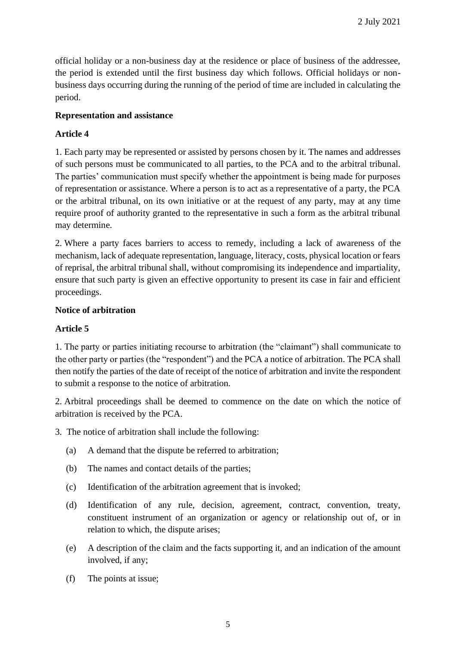official holiday or a non-business day at the residence or place of business of the addressee, the period is extended until the first business day which follows. Official holidays or nonbusiness days occurring during the running of the period of time are included in calculating the period.

### **Representation and assistance**

# **Article 4**

1. Each party may be represented or assisted by persons chosen by it. The names and addresses of such persons must be communicated to all parties, to the PCA and to the arbitral tribunal. The parties' communication must specify whether the appointment is being made for purposes of representation or assistance. Where a person is to act as a representative of a party, the PCA or the arbitral tribunal, on its own initiative or at the request of any party, may at any time require proof of authority granted to the representative in such a form as the arbitral tribunal may determine.

2. Where a party faces barriers to access to remedy, including a lack of awareness of the mechanism, lack of adequate representation, language, literacy, costs, physical location or fears of reprisal, the arbitral tribunal shall, without compromising its independence and impartiality, ensure that such party is given an effective opportunity to present its case in fair and efficient proceedings.

### **Notice of arbitration**

# **Article 5**

1. The party or parties initiating recourse to arbitration (the "claimant") shall communicate to the other party or parties (the "respondent") and the PCA a notice of arbitration. The PCA shall then notify the parties of the date of receipt of the notice of arbitration and invite the respondent to submit a response to the notice of arbitration.

2. Arbitral proceedings shall be deemed to commence on the date on which the notice of arbitration is received by the PCA.

- 3. The notice of arbitration shall include the following:
	- (a) A demand that the dispute be referred to arbitration;
	- (b) The names and contact details of the parties;
	- (c) Identification of the arbitration agreement that is invoked;
	- (d) Identification of any rule, decision, agreement, contract, convention, treaty, constituent instrument of an organization or agency or relationship out of, or in relation to which, the dispute arises;
	- (e) A description of the claim and the facts supporting it, and an indication of the amount involved, if any;
	- (f) The points at issue;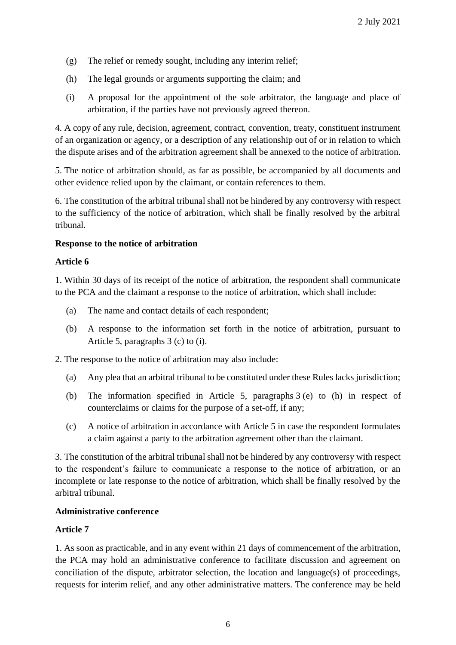- (g) The relief or remedy sought, including any interim relief;
- (h) The legal grounds or arguments supporting the claim; and
- (i) A proposal for the appointment of the sole arbitrator, the language and place of arbitration, if the parties have not previously agreed thereon.

4. A copy of any rule, decision, agreement, contract, convention, treaty, constituent instrument of an organization or agency, or a description of any relationship out of or in relation to which the dispute arises and of the arbitration agreement shall be annexed to the notice of arbitration.

5. The notice of arbitration should, as far as possible, be accompanied by all documents and other evidence relied upon by the claimant, or contain references to them.

6. The constitution of the arbitral tribunal shall not be hindered by any controversy with respect to the sufficiency of the notice of arbitration, which shall be finally resolved by the arbitral tribunal.

#### **Response to the notice of arbitration**

#### **Article 6**

1. Within 30 days of its receipt of the notice of arbitration, the respondent shall communicate to the PCA and the claimant a response to the notice of arbitration, which shall include:

- (a) The name and contact details of each respondent;
- (b) A response to the information set forth in the notice of arbitration, pursuant to Article 5, paragraphs 3 (c) to (i).

2. The response to the notice of arbitration may also include:

- (a) Any plea that an arbitral tribunal to be constituted under these Rules lacks jurisdiction;
- (b) The information specified in Article 5, paragraphs 3 (e) to (h) in respect of counterclaims or claims for the purpose of a set-off, if any;
- (c) A notice of arbitration in accordance with Article 5 in case the respondent formulates a claim against a party to the arbitration agreement other than the claimant.

3. The constitution of the arbitral tribunal shall not be hindered by any controversy with respect to the respondent's failure to communicate a response to the notice of arbitration, or an incomplete or late response to the notice of arbitration, which shall be finally resolved by the arbitral tribunal.

#### **Administrative conference**

#### **Article 7**

1. As soon as practicable, and in any event within 21 days of commencement of the arbitration, the PCA may hold an administrative conference to facilitate discussion and agreement on conciliation of the dispute, arbitrator selection, the location and language(s) of proceedings, requests for interim relief, and any other administrative matters. The conference may be held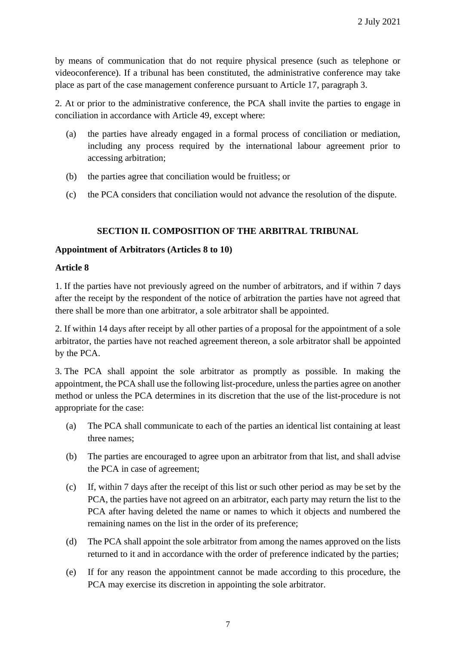by means of communication that do not require physical presence (such as telephone or videoconference). If a tribunal has been constituted, the administrative conference may take place as part of the case management conference pursuant to Article 17, paragraph 3.

2. At or prior to the administrative conference, the PCA shall invite the parties to engage in conciliation in accordance with Article 49, except where:

- (a) the parties have already engaged in a formal process of conciliation or mediation, including any process required by the international labour agreement prior to accessing arbitration;
- (b) the parties agree that conciliation would be fruitless; or
- (c) the PCA considers that conciliation would not advance the resolution of the dispute.

### **SECTION II. COMPOSITION OF THE ARBITRAL TRIBUNAL**

#### **Appointment of Arbitrators (Articles 8 to 10)**

#### **Article 8**

1. If the parties have not previously agreed on the number of arbitrators, and if within 7 days after the receipt by the respondent of the notice of arbitration the parties have not agreed that there shall be more than one arbitrator, a sole arbitrator shall be appointed.

2. If within 14 days after receipt by all other parties of a proposal for the appointment of a sole arbitrator, the parties have not reached agreement thereon, a sole arbitrator shall be appointed by the PCA.

3. The PCA shall appoint the sole arbitrator as promptly as possible. In making the appointment, the PCA shall use the following list-procedure, unless the parties agree on another method or unless the PCA determines in its discretion that the use of the list-procedure is not appropriate for the case:

- (a) The PCA shall communicate to each of the parties an identical list containing at least three names;
- (b) The parties are encouraged to agree upon an arbitrator from that list, and shall advise the PCA in case of agreement;
- (c) If, within 7 days after the receipt of this list or such other period as may be set by the PCA, the parties have not agreed on an arbitrator, each party may return the list to the PCA after having deleted the name or names to which it objects and numbered the remaining names on the list in the order of its preference;
- (d) The PCA shall appoint the sole arbitrator from among the names approved on the lists returned to it and in accordance with the order of preference indicated by the parties;
- (e) If for any reason the appointment cannot be made according to this procedure, the PCA may exercise its discretion in appointing the sole arbitrator.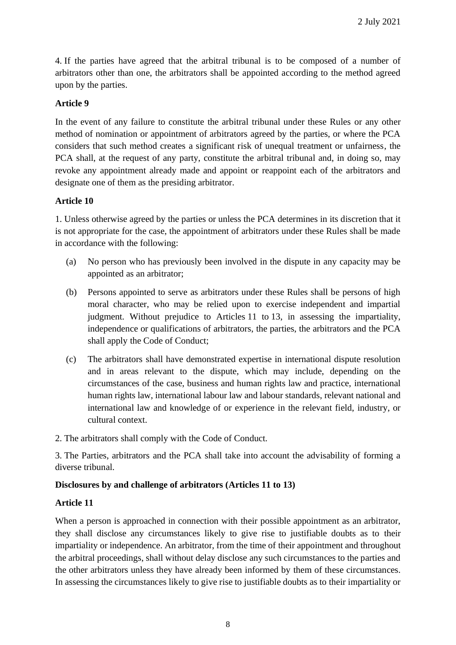4. If the parties have agreed that the arbitral tribunal is to be composed of a number of arbitrators other than one, the arbitrators shall be appointed according to the method agreed upon by the parties.

#### **Article 9**

In the event of any failure to constitute the arbitral tribunal under these Rules or any other method of nomination or appointment of arbitrators agreed by the parties, or where the PCA considers that such method creates a significant risk of unequal treatment or unfairness, the PCA shall, at the request of any party, constitute the arbitral tribunal and, in doing so, may revoke any appointment already made and appoint or reappoint each of the arbitrators and designate one of them as the presiding arbitrator.

#### **Article 10**

1. Unless otherwise agreed by the parties or unless the PCA determines in its discretion that it is not appropriate for the case, the appointment of arbitrators under these Rules shall be made in accordance with the following:

- (a) No person who has previously been involved in the dispute in any capacity may be appointed as an arbitrator;
- (b) Persons appointed to serve as arbitrators under these Rules shall be persons of high moral character, who may be relied upon to exercise independent and impartial judgment. Without prejudice to Articles 11 to 13, in assessing the impartiality, independence or qualifications of arbitrators, the parties, the arbitrators and the PCA shall apply the Code of Conduct;
- (c) The arbitrators shall have demonstrated expertise in international dispute resolution and in areas relevant to the dispute, which may include, depending on the circumstances of the case, business and human rights law and practice, international human rights law, international labour law and labour standards, relevant national and international law and knowledge of or experience in the relevant field, industry, or cultural context.
- 2. The arbitrators shall comply with the Code of Conduct.

3. The Parties, arbitrators and the PCA shall take into account the advisability of forming a diverse tribunal.

#### **Disclosures by and challenge of arbitrators (Articles 11 to 13)**

#### **Article 11**

When a person is approached in connection with their possible appointment as an arbitrator, they shall disclose any circumstances likely to give rise to justifiable doubts as to their impartiality or independence. An arbitrator, from the time of their appointment and throughout the arbitral proceedings, shall without delay disclose any such circumstances to the parties and the other arbitrators unless they have already been informed by them of these circumstances. In assessing the circumstances likely to give rise to justifiable doubts as to their impartiality or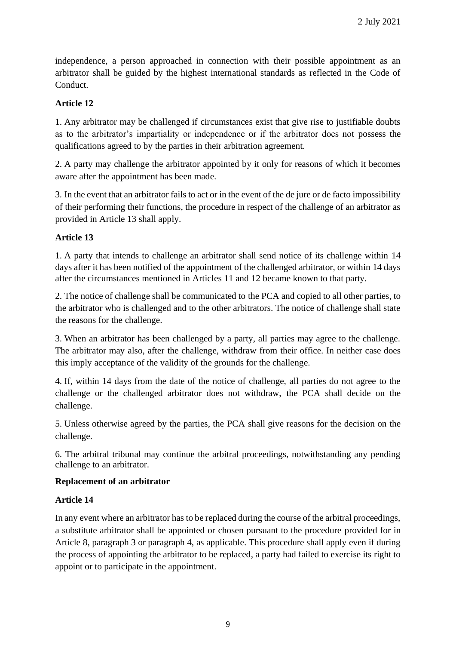independence, a person approached in connection with their possible appointment as an arbitrator shall be guided by the highest international standards as reflected in the Code of Conduct.

# **Article 12**

1. Any arbitrator may be challenged if circumstances exist that give rise to justifiable doubts as to the arbitrator's impartiality or independence or if the arbitrator does not possess the qualifications agreed to by the parties in their arbitration agreement.

2. A party may challenge the arbitrator appointed by it only for reasons of which it becomes aware after the appointment has been made.

3. In the event that an arbitrator fails to act or in the event of the de jure or de facto impossibility of their performing their functions, the procedure in respect of the challenge of an arbitrator as provided in Article 13 shall apply.

# **Article 13**

1. A party that intends to challenge an arbitrator shall send notice of its challenge within 14 days after it has been notified of the appointment of the challenged arbitrator, or within 14 days after the circumstances mentioned in Articles 11 and 12 became known to that party.

2. The notice of challenge shall be communicated to the PCA and copied to all other parties, to the arbitrator who is challenged and to the other arbitrators. The notice of challenge shall state the reasons for the challenge.

3. When an arbitrator has been challenged by a party, all parties may agree to the challenge. The arbitrator may also, after the challenge, withdraw from their office. In neither case does this imply acceptance of the validity of the grounds for the challenge.

4. If, within 14 days from the date of the notice of challenge, all parties do not agree to the challenge or the challenged arbitrator does not withdraw, the PCA shall decide on the challenge.

5. Unless otherwise agreed by the parties, the PCA shall give reasons for the decision on the challenge.

6. The arbitral tribunal may continue the arbitral proceedings, notwithstanding any pending challenge to an arbitrator.

### **Replacement of an arbitrator**

### **Article 14**

In any event where an arbitrator has to be replaced during the course of the arbitral proceedings, a substitute arbitrator shall be appointed or chosen pursuant to the procedure provided for in Article 8, paragraph 3 or paragraph 4, as applicable. This procedure shall apply even if during the process of appointing the arbitrator to be replaced, a party had failed to exercise its right to appoint or to participate in the appointment.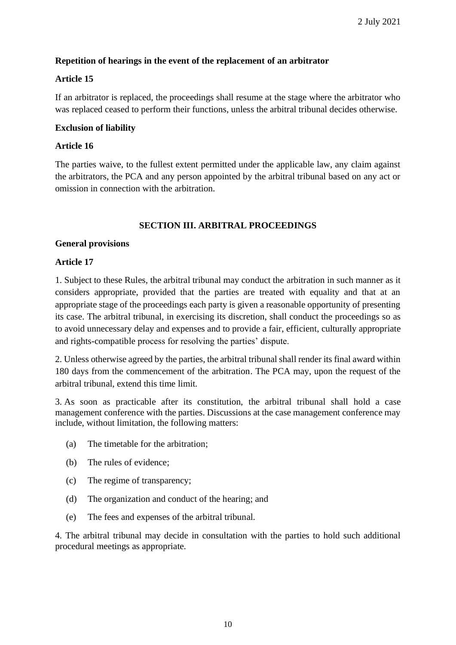# **Repetition of hearings in the event of the replacement of an arbitrator**

# **Article 15**

If an arbitrator is replaced, the proceedings shall resume at the stage where the arbitrator who was replaced ceased to perform their functions, unless the arbitral tribunal decides otherwise.

#### **Exclusion of liability**

### **Article 16**

The parties waive, to the fullest extent permitted under the applicable law, any claim against the arbitrators, the PCA and any person appointed by the arbitral tribunal based on any act or omission in connection with the arbitration.

#### **SECTION III. ARBITRAL PROCEEDINGS**

#### **General provisions**

#### **Article 17**

1. Subject to these Rules, the arbitral tribunal may conduct the arbitration in such manner as it considers appropriate, provided that the parties are treated with equality and that at an appropriate stage of the proceedings each party is given a reasonable opportunity of presenting its case. The arbitral tribunal, in exercising its discretion, shall conduct the proceedings so as to avoid unnecessary delay and expenses and to provide a fair, efficient, culturally appropriate and rights-compatible process for resolving the parties' dispute.

2. Unless otherwise agreed by the parties, the arbitral tribunal shall render its final award within 180 days from the commencement of the arbitration. The PCA may, upon the request of the arbitral tribunal, extend this time limit.

3. As soon as practicable after its constitution, the arbitral tribunal shall hold a case management conference with the parties. Discussions at the case management conference may include, without limitation, the following matters:

- (a) The timetable for the arbitration;
- (b) The rules of evidence;
- (c) The regime of transparency;
- (d) The organization and conduct of the hearing; and
- (e) The fees and expenses of the arbitral tribunal.

4. The arbitral tribunal may decide in consultation with the parties to hold such additional procedural meetings as appropriate.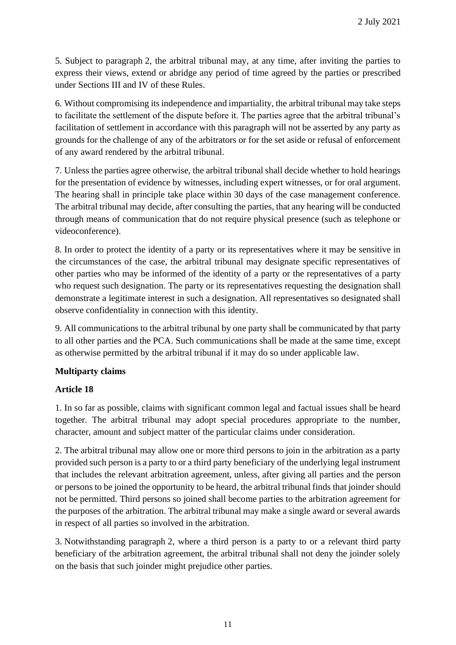5. Subject to paragraph 2, the arbitral tribunal may, at any time, after inviting the parties to express their views, extend or abridge any period of time agreed by the parties or prescribed under Sections III and IV of these Rules.

6. Without compromising its independence and impartiality, the arbitral tribunal may take steps to facilitate the settlement of the dispute before it. The parties agree that the arbitral tribunal's facilitation of settlement in accordance with this paragraph will not be asserted by any party as grounds for the challenge of any of the arbitrators or for the set aside or refusal of enforcement of any award rendered by the arbitral tribunal.

7. Unless the parties agree otherwise, the arbitral tribunal shall decide whether to hold hearings for the presentation of evidence by witnesses, including expert witnesses, or for oral argument. The hearing shall in principle take place within 30 days of the case management conference. The arbitral tribunal may decide, after consulting the parties, that any hearing will be conducted through means of communication that do not require physical presence (such as telephone or videoconference).

8. In order to protect the identity of a party or its representatives where it may be sensitive in the circumstances of the case, the arbitral tribunal may designate specific representatives of other parties who may be informed of the identity of a party or the representatives of a party who request such designation. The party or its representatives requesting the designation shall demonstrate a legitimate interest in such a designation. All representatives so designated shall observe confidentiality in connection with this identity.

9. All communications to the arbitral tribunal by one party shall be communicated by that party to all other parties and the PCA. Such communications shall be made at the same time, except as otherwise permitted by the arbitral tribunal if it may do so under applicable law.

### **Multiparty claims**

### **Article 18**

1. In so far as possible, claims with significant common legal and factual issues shall be heard together. The arbitral tribunal may adopt special procedures appropriate to the number, character, amount and subject matter of the particular claims under consideration.

2. The arbitral tribunal may allow one or more third persons to join in the arbitration as a party provided such person is a party to or a third party beneficiary of the underlying legal instrument that includes the relevant arbitration agreement, unless, after giving all parties and the person or persons to be joined the opportunity to be heard, the arbitral tribunal finds that joinder should not be permitted. Third persons so joined shall become parties to the arbitration agreement for the purposes of the arbitration. The arbitral tribunal may make a single award or several awards in respect of all parties so involved in the arbitration.

3. Notwithstanding paragraph 2, where a third person is a party to or a relevant third party beneficiary of the arbitration agreement, the arbitral tribunal shall not deny the joinder solely on the basis that such joinder might prejudice other parties.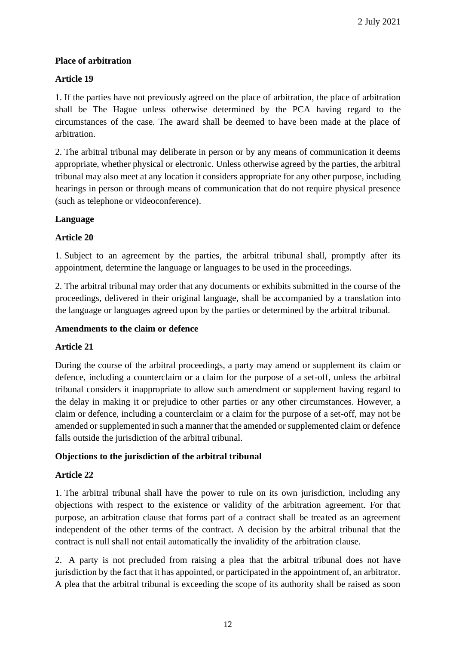# **Place of arbitration**

# **Article 19**

1. If the parties have not previously agreed on the place of arbitration, the place of arbitration shall be The Hague unless otherwise determined by the PCA having regard to the circumstances of the case. The award shall be deemed to have been made at the place of arbitration.

2. The arbitral tribunal may deliberate in person or by any means of communication it deems appropriate, whether physical or electronic. Unless otherwise agreed by the parties, the arbitral tribunal may also meet at any location it considers appropriate for any other purpose, including hearings in person or through means of communication that do not require physical presence (such as telephone or videoconference).

# **Language**

# **Article 20**

1. Subject to an agreement by the parties, the arbitral tribunal shall, promptly after its appointment, determine the language or languages to be used in the proceedings.

2. The arbitral tribunal may order that any documents or exhibits submitted in the course of the proceedings, delivered in their original language, shall be accompanied by a translation into the language or languages agreed upon by the parties or determined by the arbitral tribunal.

### **Amendments to the claim or defence**

### **Article 21**

During the course of the arbitral proceedings, a party may amend or supplement its claim or defence, including a counterclaim or a claim for the purpose of a set-off, unless the arbitral tribunal considers it inappropriate to allow such amendment or supplement having regard to the delay in making it or prejudice to other parties or any other circumstances. However, a claim or defence, including a counterclaim or a claim for the purpose of a set-off, may not be amended or supplemented in such a manner that the amended or supplemented claim or defence falls outside the jurisdiction of the arbitral tribunal.

### **Objections to the jurisdiction of the arbitral tribunal**

### **Article 22**

1. The arbitral tribunal shall have the power to rule on its own jurisdiction, including any objections with respect to the existence or validity of the arbitration agreement. For that purpose, an arbitration clause that forms part of a contract shall be treated as an agreement independent of the other terms of the contract. A decision by the arbitral tribunal that the contract is null shall not entail automatically the invalidity of the arbitration clause.

2. A party is not precluded from raising a plea that the arbitral tribunal does not have jurisdiction by the fact that it has appointed, or participated in the appointment of, an arbitrator. A plea that the arbitral tribunal is exceeding the scope of its authority shall be raised as soon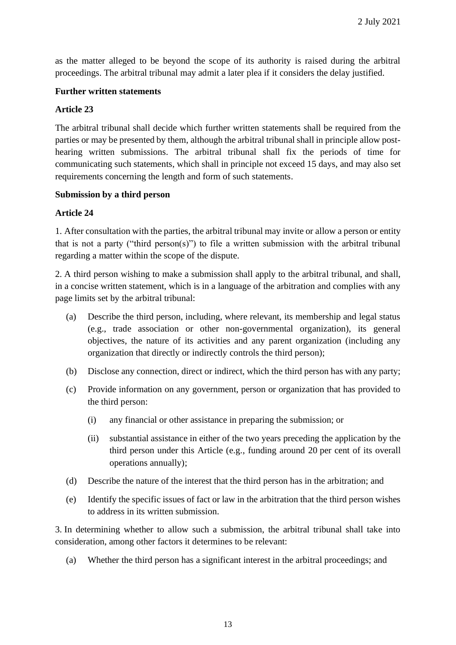as the matter alleged to be beyond the scope of its authority is raised during the arbitral proceedings. The arbitral tribunal may admit a later plea if it considers the delay justified.

#### **Further written statements**

#### **Article 23**

The arbitral tribunal shall decide which further written statements shall be required from the parties or may be presented by them, although the arbitral tribunal shall in principle allow posthearing written submissions. The arbitral tribunal shall fix the periods of time for communicating such statements, which shall in principle not exceed 15 days, and may also set requirements concerning the length and form of such statements.

#### **Submission by a third person**

#### **Article 24**

1. After consultation with the parties, the arbitral tribunal may invite or allow a person or entity that is not a party ("third person(s)") to file a written submission with the arbitral tribunal regarding a matter within the scope of the dispute.

2. A third person wishing to make a submission shall apply to the arbitral tribunal, and shall, in a concise written statement, which is in a language of the arbitration and complies with any page limits set by the arbitral tribunal:

- (a) Describe the third person, including, where relevant, its membership and legal status (e.g., trade association or other non-governmental organization), its general objectives, the nature of its activities and any parent organization (including any organization that directly or indirectly controls the third person);
- (b) Disclose any connection, direct or indirect, which the third person has with any party;
- (c) Provide information on any government, person or organization that has provided to the third person:
	- (i) any financial or other assistance in preparing the submission; or
	- (ii) substantial assistance in either of the two years preceding the application by the third person under this Article (e.g., funding around 20 per cent of its overall operations annually);
- (d) Describe the nature of the interest that the third person has in the arbitration; and
- (e) Identify the specific issues of fact or law in the arbitration that the third person wishes to address in its written submission.

3. In determining whether to allow such a submission, the arbitral tribunal shall take into consideration, among other factors it determines to be relevant:

(a) Whether the third person has a significant interest in the arbitral proceedings; and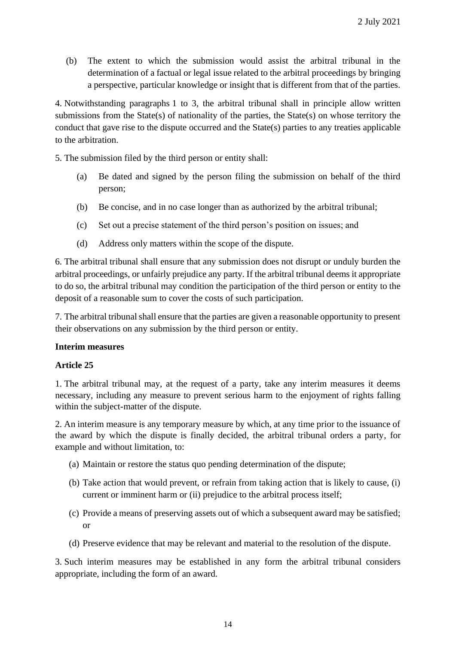(b) The extent to which the submission would assist the arbitral tribunal in the determination of a factual or legal issue related to the arbitral proceedings by bringing a perspective, particular knowledge or insight that is different from that of the parties.

4. Notwithstanding paragraphs 1 to 3, the arbitral tribunal shall in principle allow written submissions from the State(s) of nationality of the parties, the State(s) on whose territory the conduct that gave rise to the dispute occurred and the State(s) parties to any treaties applicable to the arbitration.

5. The submission filed by the third person or entity shall:

- (a) Be dated and signed by the person filing the submission on behalf of the third person;
- (b) Be concise, and in no case longer than as authorized by the arbitral tribunal;
- (c) Set out a precise statement of the third person's position on issues; and
- (d) Address only matters within the scope of the dispute.

6. The arbitral tribunal shall ensure that any submission does not disrupt or unduly burden the arbitral proceedings, or unfairly prejudice any party. If the arbitral tribunal deems it appropriate to do so, the arbitral tribunal may condition the participation of the third person or entity to the deposit of a reasonable sum to cover the costs of such participation.

7. The arbitral tribunal shall ensure that the parties are given a reasonable opportunity to present their observations on any submission by the third person or entity.

#### **Interim measures**

#### **Article 25**

1. The arbitral tribunal may, at the request of a party, take any interim measures it deems necessary, including any measure to prevent serious harm to the enjoyment of rights falling within the subject-matter of the dispute.

2. An interim measure is any temporary measure by which, at any time prior to the issuance of the award by which the dispute is finally decided, the arbitral tribunal orders a party, for example and without limitation, to:

- (a) Maintain or restore the status quo pending determination of the dispute;
- (b) Take action that would prevent, or refrain from taking action that is likely to cause, (i) current or imminent harm or (ii) prejudice to the arbitral process itself;
- (c) Provide a means of preserving assets out of which a subsequent award may be satisfied; or
- (d) Preserve evidence that may be relevant and material to the resolution of the dispute.

3. Such interim measures may be established in any form the arbitral tribunal considers appropriate, including the form of an award.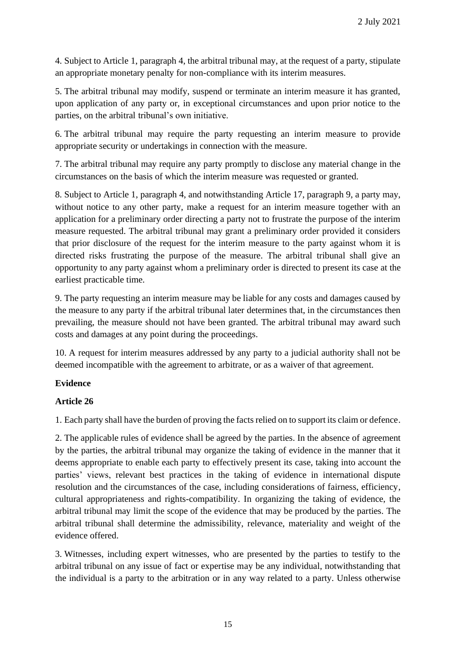4. Subject to Article 1, paragraph 4, the arbitral tribunal may, at the request of a party, stipulate an appropriate monetary penalty for non-compliance with its interim measures.

5. The arbitral tribunal may modify, suspend or terminate an interim measure it has granted, upon application of any party or, in exceptional circumstances and upon prior notice to the parties, on the arbitral tribunal's own initiative.

6. The arbitral tribunal may require the party requesting an interim measure to provide appropriate security or undertakings in connection with the measure.

7. The arbitral tribunal may require any party promptly to disclose any material change in the circumstances on the basis of which the interim measure was requested or granted.

8. Subject to Article 1, paragraph 4, and notwithstanding Article 17, paragraph 9, a party may, without notice to any other party, make a request for an interim measure together with an application for a preliminary order directing a party not to frustrate the purpose of the interim measure requested. The arbitral tribunal may grant a preliminary order provided it considers that prior disclosure of the request for the interim measure to the party against whom it is directed risks frustrating the purpose of the measure. The arbitral tribunal shall give an opportunity to any party against whom a preliminary order is directed to present its case at the earliest practicable time.

9. The party requesting an interim measure may be liable for any costs and damages caused by the measure to any party if the arbitral tribunal later determines that, in the circumstances then prevailing, the measure should not have been granted. The arbitral tribunal may award such costs and damages at any point during the proceedings.

10. A request for interim measures addressed by any party to a judicial authority shall not be deemed incompatible with the agreement to arbitrate, or as a waiver of that agreement.

### **Evidence**

# **Article 26**

1. Each party shall have the burden of proving the facts relied on to support its claim or defence.

2. The applicable rules of evidence shall be agreed by the parties. In the absence of agreement by the parties, the arbitral tribunal may organize the taking of evidence in the manner that it deems appropriate to enable each party to effectively present its case, taking into account the parties' views, relevant best practices in the taking of evidence in international dispute resolution and the circumstances of the case, including considerations of fairness, efficiency, cultural appropriateness and rights-compatibility. In organizing the taking of evidence, the arbitral tribunal may limit the scope of the evidence that may be produced by the parties. The arbitral tribunal shall determine the admissibility, relevance, materiality and weight of the evidence offered.

3. Witnesses, including expert witnesses, who are presented by the parties to testify to the arbitral tribunal on any issue of fact or expertise may be any individual, notwithstanding that the individual is a party to the arbitration or in any way related to a party. Unless otherwise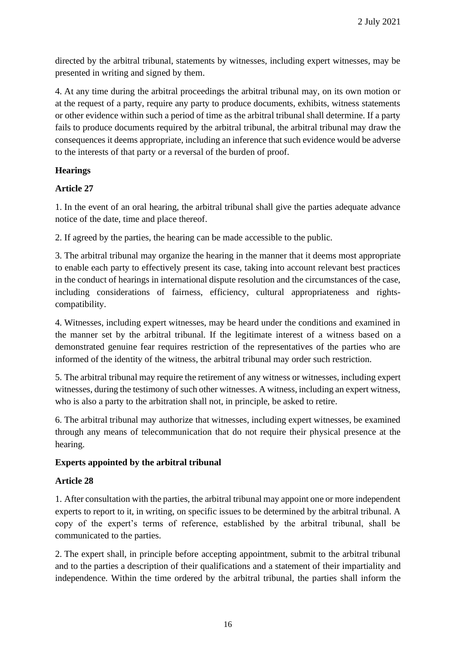directed by the arbitral tribunal, statements by witnesses, including expert witnesses, may be presented in writing and signed by them.

4. At any time during the arbitral proceedings the arbitral tribunal may, on its own motion or at the request of a party, require any party to produce documents, exhibits, witness statements or other evidence within such a period of time as the arbitral tribunal shall determine. If a party fails to produce documents required by the arbitral tribunal, the arbitral tribunal may draw the consequences it deems appropriate, including an inference that such evidence would be adverse to the interests of that party or a reversal of the burden of proof.

### **Hearings**

# **Article 27**

1. In the event of an oral hearing, the arbitral tribunal shall give the parties adequate advance notice of the date, time and place thereof.

2. If agreed by the parties, the hearing can be made accessible to the public.

3. The arbitral tribunal may organize the hearing in the manner that it deems most appropriate to enable each party to effectively present its case, taking into account relevant best practices in the conduct of hearings in international dispute resolution and the circumstances of the case, including considerations of fairness, efficiency, cultural appropriateness and rightscompatibility.

4. Witnesses, including expert witnesses, may be heard under the conditions and examined in the manner set by the arbitral tribunal. If the legitimate interest of a witness based on a demonstrated genuine fear requires restriction of the representatives of the parties who are informed of the identity of the witness, the arbitral tribunal may order such restriction.

5. The arbitral tribunal may require the retirement of any witness or witnesses, including expert witnesses, during the testimony of such other witnesses. A witness, including an expert witness, who is also a party to the arbitration shall not, in principle, be asked to retire.

6. The arbitral tribunal may authorize that witnesses, including expert witnesses, be examined through any means of telecommunication that do not require their physical presence at the hearing.

### **Experts appointed by the arbitral tribunal**

### **Article 28**

1. After consultation with the parties, the arbitral tribunal may appoint one or more independent experts to report to it, in writing, on specific issues to be determined by the arbitral tribunal. A copy of the expert's terms of reference, established by the arbitral tribunal, shall be communicated to the parties.

2. The expert shall, in principle before accepting appointment, submit to the arbitral tribunal and to the parties a description of their qualifications and a statement of their impartiality and independence. Within the time ordered by the arbitral tribunal, the parties shall inform the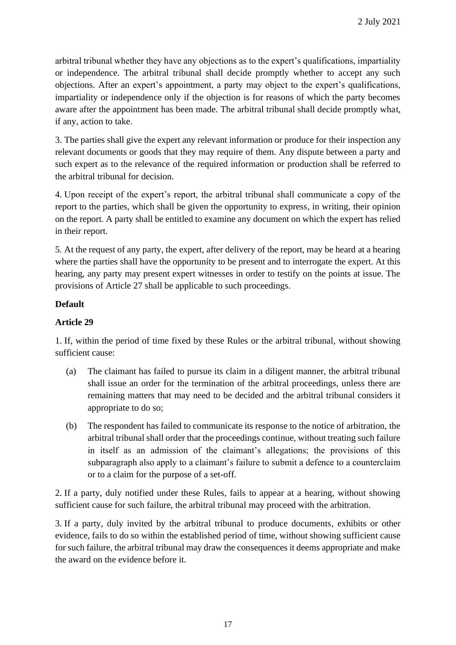arbitral tribunal whether they have any objections as to the expert's qualifications, impartiality or independence. The arbitral tribunal shall decide promptly whether to accept any such objections. After an expert's appointment, a party may object to the expert's qualifications, impartiality or independence only if the objection is for reasons of which the party becomes aware after the appointment has been made. The arbitral tribunal shall decide promptly what, if any, action to take.

3. The parties shall give the expert any relevant information or produce for their inspection any relevant documents or goods that they may require of them. Any dispute between a party and such expert as to the relevance of the required information or production shall be referred to the arbitral tribunal for decision.

4. Upon receipt of the expert's report, the arbitral tribunal shall communicate a copy of the report to the parties, which shall be given the opportunity to express, in writing, their opinion on the report. A party shall be entitled to examine any document on which the expert has relied in their report.

5. At the request of any party, the expert, after delivery of the report, may be heard at a hearing where the parties shall have the opportunity to be present and to interrogate the expert. At this hearing, any party may present expert witnesses in order to testify on the points at issue. The provisions of Article 27 shall be applicable to such proceedings.

### **Default**

# **Article 29**

1. If, within the period of time fixed by these Rules or the arbitral tribunal, without showing sufficient cause:

- (a) The claimant has failed to pursue its claim in a diligent manner, the arbitral tribunal shall issue an order for the termination of the arbitral proceedings, unless there are remaining matters that may need to be decided and the arbitral tribunal considers it appropriate to do so;
- (b) The respondent has failed to communicate its response to the notice of arbitration, the arbitral tribunal shall order that the proceedings continue, without treating such failure in itself as an admission of the claimant's allegations; the provisions of this subparagraph also apply to a claimant's failure to submit a defence to a counterclaim or to a claim for the purpose of a set-off.

2. If a party, duly notified under these Rules, fails to appear at a hearing, without showing sufficient cause for such failure, the arbitral tribunal may proceed with the arbitration.

3. If a party, duly invited by the arbitral tribunal to produce documents, exhibits or other evidence, fails to do so within the established period of time, without showing sufficient cause for such failure, the arbitral tribunal may draw the consequences it deems appropriate and make the award on the evidence before it.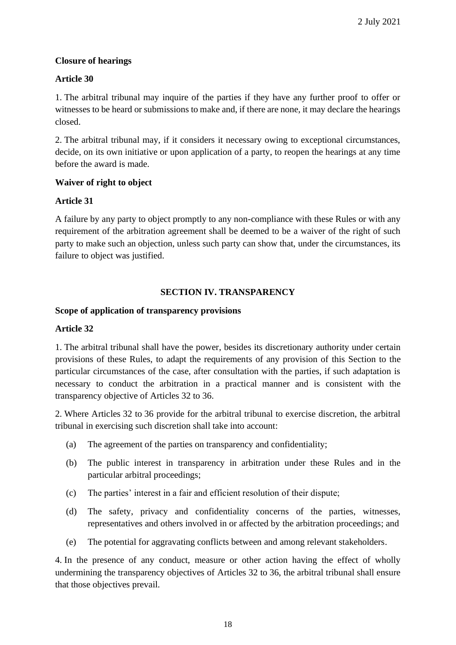# **Closure of hearings**

# **Article 30**

1. The arbitral tribunal may inquire of the parties if they have any further proof to offer or witnesses to be heard or submissions to make and, if there are none, it may declare the hearings closed.

2. The arbitral tribunal may, if it considers it necessary owing to exceptional circumstances, decide, on its own initiative or upon application of a party, to reopen the hearings at any time before the award is made.

### **Waiver of right to object**

# **Article 31**

A failure by any party to object promptly to any non-compliance with these Rules or with any requirement of the arbitration agreement shall be deemed to be a waiver of the right of such party to make such an objection, unless such party can show that, under the circumstances, its failure to object was justified.

# **SECTION IV. TRANSPARENCY**

### **Scope of application of transparency provisions**

### **Article 32**

1. The arbitral tribunal shall have the power, besides its discretionary authority under certain provisions of these Rules, to adapt the requirements of any provision of this Section to the particular circumstances of the case, after consultation with the parties, if such adaptation is necessary to conduct the arbitration in a practical manner and is consistent with the transparency objective of Articles 32 to 36.

2. Where Articles 32 to 36 provide for the arbitral tribunal to exercise discretion, the arbitral tribunal in exercising such discretion shall take into account:

- (a) The agreement of the parties on transparency and confidentiality;
- (b) The public interest in transparency in arbitration under these Rules and in the particular arbitral proceedings;
- (c) The parties' interest in a fair and efficient resolution of their dispute;
- (d) The safety, privacy and confidentiality concerns of the parties, witnesses, representatives and others involved in or affected by the arbitration proceedings; and
- (e) The potential for aggravating conflicts between and among relevant stakeholders.

4. In the presence of any conduct, measure or other action having the effect of wholly undermining the transparency objectives of Articles 32 to 36, the arbitral tribunal shall ensure that those objectives prevail.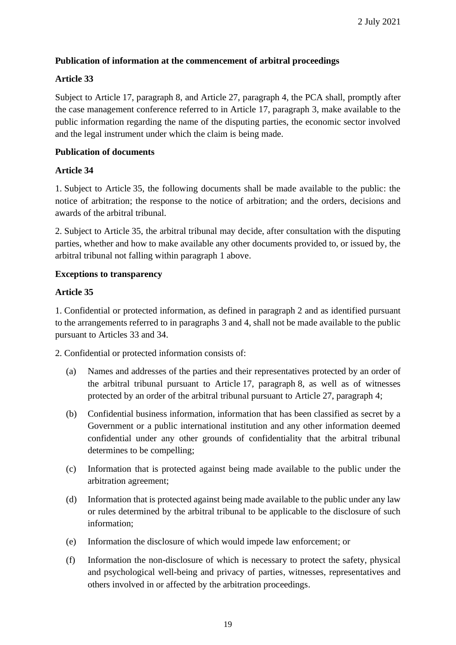# **Publication of information at the commencement of arbitral proceedings**

# **Article 33**

Subject to Article 17, paragraph 8, and Article 27, paragraph 4, the PCA shall, promptly after the case management conference referred to in Article 17, paragraph 3, make available to the public information regarding the name of the disputing parties, the economic sector involved and the legal instrument under which the claim is being made.

# **Publication of documents**

# **Article 34**

1. Subject to Article 35, the following documents shall be made available to the public: the notice of arbitration; the response to the notice of arbitration; and the orders, decisions and awards of the arbitral tribunal.

2. Subject to Article 35, the arbitral tribunal may decide, after consultation with the disputing parties, whether and how to make available any other documents provided to, or issued by, the arbitral tribunal not falling within paragraph 1 above.

### **Exceptions to transparency**

# **Article 35**

1. Confidential or protected information, as defined in paragraph 2 and as identified pursuant to the arrangements referred to in paragraphs 3 and 4, shall not be made available to the public pursuant to Articles 33 and 34.

2. Confidential or protected information consists of:

- (a) Names and addresses of the parties and their representatives protected by an order of the arbitral tribunal pursuant to Article 17, paragraph 8, as well as of witnesses protected by an order of the arbitral tribunal pursuant to Article 27, paragraph 4;
- (b) Confidential business information, information that has been classified as secret by a Government or a public international institution and any other information deemed confidential under any other grounds of confidentiality that the arbitral tribunal determines to be compelling;
- (c) Information that is protected against being made available to the public under the arbitration agreement;
- (d) Information that is protected against being made available to the public under any law or rules determined by the arbitral tribunal to be applicable to the disclosure of such information;
- (e) Information the disclosure of which would impede law enforcement; or
- (f) Information the non-disclosure of which is necessary to protect the safety, physical and psychological well-being and privacy of parties, witnesses, representatives and others involved in or affected by the arbitration proceedings.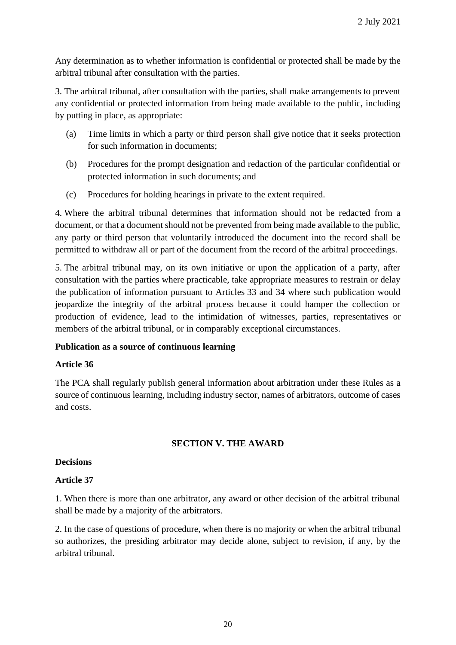Any determination as to whether information is confidential or protected shall be made by the arbitral tribunal after consultation with the parties.

3. The arbitral tribunal, after consultation with the parties, shall make arrangements to prevent any confidential or protected information from being made available to the public, including by putting in place, as appropriate:

- (a) Time limits in which a party or third person shall give notice that it seeks protection for such information in documents;
- (b) Procedures for the prompt designation and redaction of the particular confidential or protected information in such documents; and
- (c) Procedures for holding hearings in private to the extent required.

4. Where the arbitral tribunal determines that information should not be redacted from a document, or that a document should not be prevented from being made available to the public, any party or third person that voluntarily introduced the document into the record shall be permitted to withdraw all or part of the document from the record of the arbitral proceedings.

5. The arbitral tribunal may, on its own initiative or upon the application of a party, after consultation with the parties where practicable, take appropriate measures to restrain or delay the publication of information pursuant to Articles 33 and 34 where such publication would jeopardize the integrity of the arbitral process because it could hamper the collection or production of evidence, lead to the intimidation of witnesses, parties, representatives or members of the arbitral tribunal, or in comparably exceptional circumstances.

### **Publication as a source of continuous learning**

### **Article 36**

The PCA shall regularly publish general information about arbitration under these Rules as a source of continuous learning, including industry sector, names of arbitrators, outcome of cases and costs.

### **SECTION V. THE AWARD**

#### **Decisions**

#### **Article 37**

1. When there is more than one arbitrator, any award or other decision of the arbitral tribunal shall be made by a majority of the arbitrators.

2. In the case of questions of procedure, when there is no majority or when the arbitral tribunal so authorizes, the presiding arbitrator may decide alone, subject to revision, if any, by the arbitral tribunal.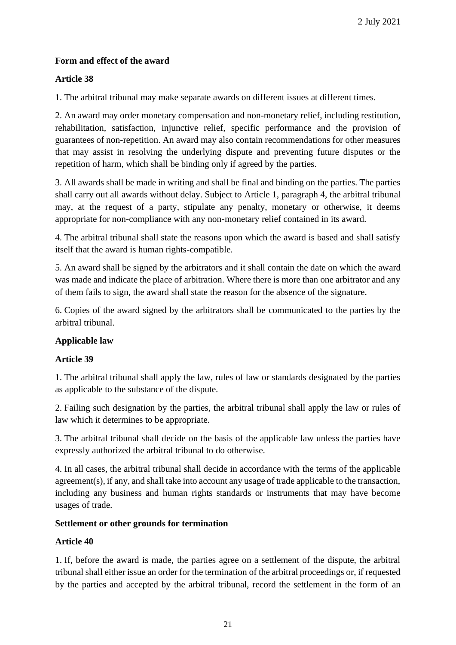# **Form and effect of the award**

# **Article 38**

1. The arbitral tribunal may make separate awards on different issues at different times.

2. An award may order monetary compensation and non-monetary relief, including restitution, rehabilitation, satisfaction, injunctive relief, specific performance and the provision of guarantees of non-repetition. An award may also contain recommendations for other measures that may assist in resolving the underlying dispute and preventing future disputes or the repetition of harm, which shall be binding only if agreed by the parties.

3. All awards shall be made in writing and shall be final and binding on the parties. The parties shall carry out all awards without delay. Subject to Article 1, paragraph 4, the arbitral tribunal may, at the request of a party, stipulate any penalty, monetary or otherwise, it deems appropriate for non-compliance with any non-monetary relief contained in its award.

4. The arbitral tribunal shall state the reasons upon which the award is based and shall satisfy itself that the award is human rights-compatible.

5. An award shall be signed by the arbitrators and it shall contain the date on which the award was made and indicate the place of arbitration. Where there is more than one arbitrator and any of them fails to sign, the award shall state the reason for the absence of the signature.

6. Copies of the award signed by the arbitrators shall be communicated to the parties by the arbitral tribunal.

### **Applicable law**

### **Article 39**

1. The arbitral tribunal shall apply the law, rules of law or standards designated by the parties as applicable to the substance of the dispute.

2. Failing such designation by the parties, the arbitral tribunal shall apply the law or rules of law which it determines to be appropriate.

3. The arbitral tribunal shall decide on the basis of the applicable law unless the parties have expressly authorized the arbitral tribunal to do otherwise.

4. In all cases, the arbitral tribunal shall decide in accordance with the terms of the applicable agreement(s), if any, and shall take into account any usage of trade applicable to the transaction, including any business and human rights standards or instruments that may have become usages of trade.

### **Settlement or other grounds for termination**

# **Article 40**

1. If, before the award is made, the parties agree on a settlement of the dispute, the arbitral tribunal shall either issue an order for the termination of the arbitral proceedings or, if requested by the parties and accepted by the arbitral tribunal, record the settlement in the form of an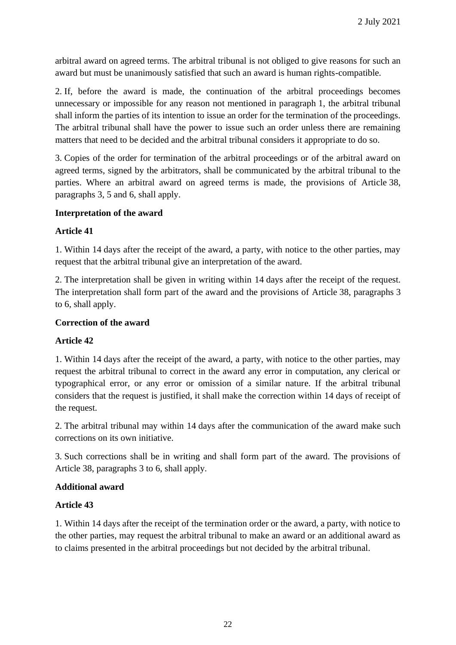arbitral award on agreed terms. The arbitral tribunal is not obliged to give reasons for such an award but must be unanimously satisfied that such an award is human rights-compatible.

2. If, before the award is made, the continuation of the arbitral proceedings becomes unnecessary or impossible for any reason not mentioned in paragraph 1, the arbitral tribunal shall inform the parties of its intention to issue an order for the termination of the proceedings. The arbitral tribunal shall have the power to issue such an order unless there are remaining matters that need to be decided and the arbitral tribunal considers it appropriate to do so.

3. Copies of the order for termination of the arbitral proceedings or of the arbitral award on agreed terms, signed by the arbitrators, shall be communicated by the arbitral tribunal to the parties. Where an arbitral award on agreed terms is made, the provisions of Article 38, paragraphs 3, 5 and 6, shall apply.

#### **Interpretation of the award**

#### **Article 41**

1. Within 14 days after the receipt of the award, a party, with notice to the other parties, may request that the arbitral tribunal give an interpretation of the award.

2. The interpretation shall be given in writing within 14 days after the receipt of the request. The interpretation shall form part of the award and the provisions of Article 38, paragraphs 3 to 6, shall apply.

#### **Correction of the award**

### **Article 42**

1. Within 14 days after the receipt of the award, a party, with notice to the other parties, may request the arbitral tribunal to correct in the award any error in computation, any clerical or typographical error, or any error or omission of a similar nature. If the arbitral tribunal considers that the request is justified, it shall make the correction within 14 days of receipt of the request.

2. The arbitral tribunal may within 14 days after the communication of the award make such corrections on its own initiative.

3. Such corrections shall be in writing and shall form part of the award. The provisions of Article 38, paragraphs 3 to 6, shall apply.

#### **Additional award**

#### **Article 43**

1. Within 14 days after the receipt of the termination order or the award, a party, with notice to the other parties, may request the arbitral tribunal to make an award or an additional award as to claims presented in the arbitral proceedings but not decided by the arbitral tribunal.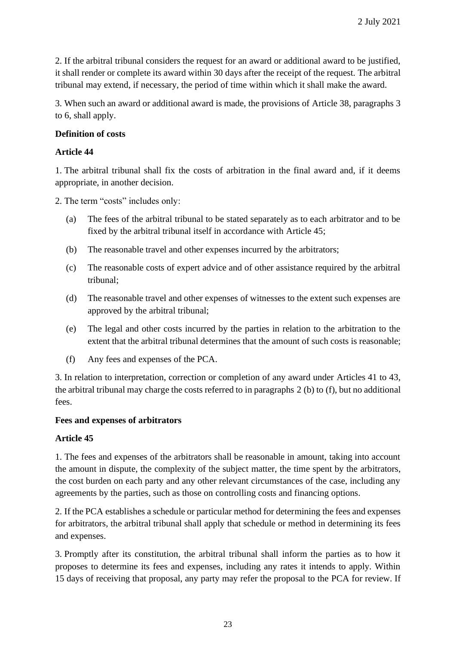2. If the arbitral tribunal considers the request for an award or additional award to be justified, it shall render or complete its award within 30 days after the receipt of the request. The arbitral tribunal may extend, if necessary, the period of time within which it shall make the award.

3. When such an award or additional award is made, the provisions of Article 38, paragraphs 3 to 6, shall apply.

# **Definition of costs**

# **Article 44**

1. The arbitral tribunal shall fix the costs of arbitration in the final award and, if it deems appropriate, in another decision.

2. The term "costs" includes only:

- (a) The fees of the arbitral tribunal to be stated separately as to each arbitrator and to be fixed by the arbitral tribunal itself in accordance with Article 45;
- (b) The reasonable travel and other expenses incurred by the arbitrators;
- (c) The reasonable costs of expert advice and of other assistance required by the arbitral tribunal;
- (d) The reasonable travel and other expenses of witnesses to the extent such expenses are approved by the arbitral tribunal;
- (e) The legal and other costs incurred by the parties in relation to the arbitration to the extent that the arbitral tribunal determines that the amount of such costs is reasonable;
- (f) Any fees and expenses of the PCA.

3. In relation to interpretation, correction or completion of any award under Articles 41 to 43, the arbitral tribunal may charge the costs referred to in paragraphs 2 (b) to (f), but no additional fees.

### **Fees and expenses of arbitrators**

### **Article 45**

1. The fees and expenses of the arbitrators shall be reasonable in amount, taking into account the amount in dispute, the complexity of the subject matter, the time spent by the arbitrators, the cost burden on each party and any other relevant circumstances of the case, including any agreements by the parties, such as those on controlling costs and financing options.

2. If the PCA establishes a schedule or particular method for determining the fees and expenses for arbitrators, the arbitral tribunal shall apply that schedule or method in determining its fees and expenses.

3. Promptly after its constitution, the arbitral tribunal shall inform the parties as to how it proposes to determine its fees and expenses, including any rates it intends to apply. Within 15 days of receiving that proposal, any party may refer the proposal to the PCA for review. If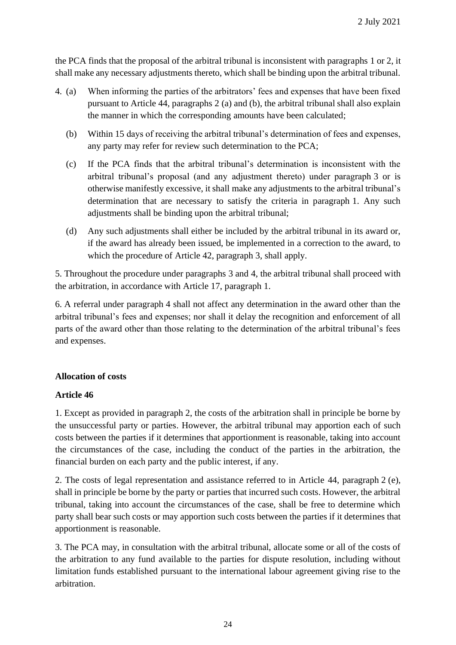the PCA finds that the proposal of the arbitral tribunal is inconsistent with paragraphs 1 or 2, it shall make any necessary adjustments thereto, which shall be binding upon the arbitral tribunal.

- 4. (a) When informing the parties of the arbitrators' fees and expenses that have been fixed pursuant to Article 44, paragraphs 2 (a) and (b), the arbitral tribunal shall also explain the manner in which the corresponding amounts have been calculated;
	- (b) Within 15 days of receiving the arbitral tribunal's determination of fees and expenses, any party may refer for review such determination to the PCA;
	- (c) If the PCA finds that the arbitral tribunal's determination is inconsistent with the arbitral tribunal's proposal (and any adjustment thereto) under paragraph 3 or is otherwise manifestly excessive, it shall make any adjustments to the arbitral tribunal's determination that are necessary to satisfy the criteria in paragraph 1. Any such adjustments shall be binding upon the arbitral tribunal;
	- (d) Any such adjustments shall either be included by the arbitral tribunal in its award or, if the award has already been issued, be implemented in a correction to the award, to which the procedure of Article 42, paragraph 3, shall apply.

5. Throughout the procedure under paragraphs 3 and 4, the arbitral tribunal shall proceed with the arbitration, in accordance with Article 17, paragraph 1.

6. A referral under paragraph 4 shall not affect any determination in the award other than the arbitral tribunal's fees and expenses; nor shall it delay the recognition and enforcement of all parts of the award other than those relating to the determination of the arbitral tribunal's fees and expenses.

### **Allocation of costs**

### **Article 46**

1. Except as provided in paragraph 2, the costs of the arbitration shall in principle be borne by the unsuccessful party or parties. However, the arbitral tribunal may apportion each of such costs between the parties if it determines that apportionment is reasonable, taking into account the circumstances of the case, including the conduct of the parties in the arbitration, the financial burden on each party and the public interest, if any.

2. The costs of legal representation and assistance referred to in Article 44, paragraph 2 (e), shall in principle be borne by the party or parties that incurred such costs. However, the arbitral tribunal, taking into account the circumstances of the case, shall be free to determine which party shall bear such costs or may apportion such costs between the parties if it determines that apportionment is reasonable.

3. The PCA may, in consultation with the arbitral tribunal, allocate some or all of the costs of the arbitration to any fund available to the parties for dispute resolution, including without limitation funds established pursuant to the international labour agreement giving rise to the arbitration.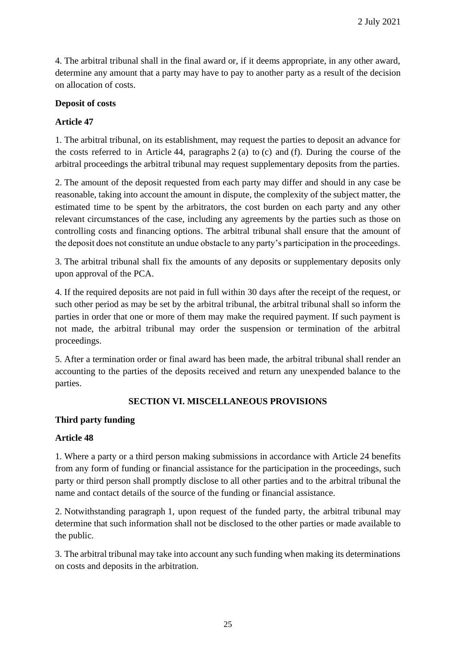4. The arbitral tribunal shall in the final award or, if it deems appropriate, in any other award, determine any amount that a party may have to pay to another party as a result of the decision on allocation of costs.

#### **Deposit of costs**

#### **Article 47**

1. The arbitral tribunal, on its establishment, may request the parties to deposit an advance for the costs referred to in Article 44, paragraphs 2 (a) to (c) and (f). During the course of the arbitral proceedings the arbitral tribunal may request supplementary deposits from the parties.

2. The amount of the deposit requested from each party may differ and should in any case be reasonable, taking into account the amount in dispute, the complexity of the subject matter, the estimated time to be spent by the arbitrators, the cost burden on each party and any other relevant circumstances of the case, including any agreements by the parties such as those on controlling costs and financing options. The arbitral tribunal shall ensure that the amount of the deposit does not constitute an undue obstacle to any party's participation in the proceedings.

3. The arbitral tribunal shall fix the amounts of any deposits or supplementary deposits only upon approval of the PCA.

4. If the required deposits are not paid in full within 30 days after the receipt of the request, or such other period as may be set by the arbitral tribunal, the arbitral tribunal shall so inform the parties in order that one or more of them may make the required payment. If such payment is not made, the arbitral tribunal may order the suspension or termination of the arbitral proceedings.

5. After a termination order or final award has been made, the arbitral tribunal shall render an accounting to the parties of the deposits received and return any unexpended balance to the parties.

### **SECTION VI. MISCELLANEOUS PROVISIONS**

#### **Third party funding**

#### **Article 48**

1. Where a party or a third person making submissions in accordance with Article 24 benefits from any form of funding or financial assistance for the participation in the proceedings, such party or third person shall promptly disclose to all other parties and to the arbitral tribunal the name and contact details of the source of the funding or financial assistance.

2. Notwithstanding paragraph 1, upon request of the funded party, the arbitral tribunal may determine that such information shall not be disclosed to the other parties or made available to the public.

3. The arbitral tribunal may take into account any such funding when making its determinations on costs and deposits in the arbitration.